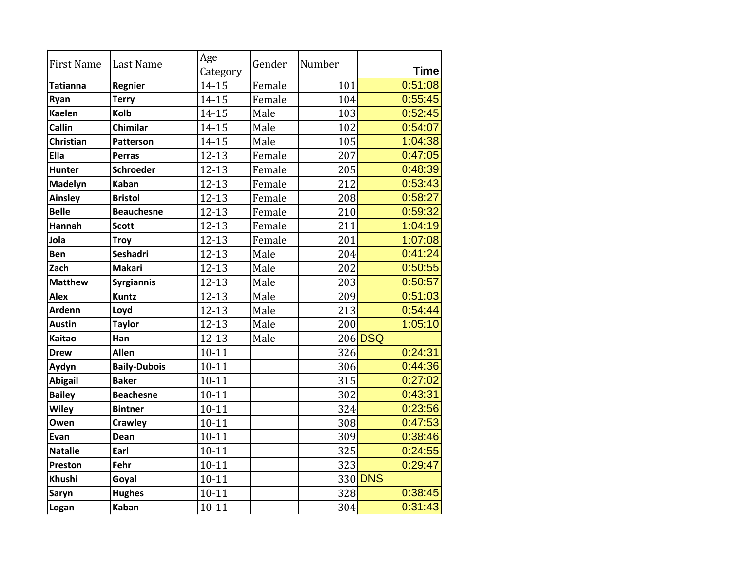| <b>First Name</b> | Last Name           | Age<br>Category | Gender | Number | <b>Time</b> |
|-------------------|---------------------|-----------------|--------|--------|-------------|
| Tatianna          | Regnier             | $14 - 15$       | Female | 101    | 0:51:08     |
| Ryan              | <b>Terry</b>        | $14 - 15$       | Female | 104    | 0:55:45     |
| <b>Kaelen</b>     | <b>Kolb</b>         | 14-15           | Male   | 103    | 0:52:45     |
| Callin            | Chimilar            | 14-15           | Male   | 102    | 0:54:07     |
| <b>Christian</b>  | <b>Patterson</b>    | 14-15           | Male   | 105    | 1:04:38     |
| <b>Ella</b>       | <b>Perras</b>       | $12 - 13$       | Female | 207    | 0:47:05     |
| <b>Hunter</b>     | <b>Schroeder</b>    | $12 - 13$       | Female | 205    | 0:48:39     |
| Madelyn           | <b>Kaban</b>        | $12 - 13$       | Female | 212    | 0:53:43     |
| Ainsley           | <b>Bristol</b>      | $12 - 13$       | Female | 208    | 0:58:27     |
| <b>Belle</b>      | <b>Beauchesne</b>   | $12 - 13$       | Female | 210    | 0:59:32     |
| <b>Hannah</b>     | <b>Scott</b>        | $12 - 13$       | Female | 211    | 1:04:19     |
| Jola              | <b>Troy</b>         | $12 - 13$       | Female | 201    | 1:07:08     |
| <b>Ben</b>        | <b>Seshadri</b>     | $12 - 13$       | Male   | 204    | 0:41:24     |
| Zach              | <b>Makari</b>       | $12 - 13$       | Male   | 202    | 0:50:55     |
| <b>Matthew</b>    | <b>Syrgiannis</b>   | $12 - 13$       | Male   | 203    | 0:50:57     |
| <b>Alex</b>       | <b>Kuntz</b>        | $12 - 13$       | Male   | 209    | 0:51:03     |
| <b>Ardenn</b>     | Loyd                | $12 - 13$       | Male   | 213    | 0:54:44     |
| <b>Austin</b>     | <b>Taylor</b>       | $12 - 13$       | Male   | 200    | 1:05:10     |
| <b>Kaitao</b>     | Han                 | $12 - 13$       | Male   |        | 206 DSQ     |
| <b>Drew</b>       | <b>Allen</b>        | $10 - 11$       |        | 326    | 0:24:31     |
| Aydyn             | <b>Baily-Dubois</b> | $10 - 11$       |        | 306    | 0:44:36     |
| <b>Abigail</b>    | <b>Baker</b>        | $10 - 11$       |        | 315    | 0:27:02     |
| <b>Bailey</b>     | <b>Beachesne</b>    | $10 - 11$       |        | 302    | 0:43:31     |
| <b>Wiley</b>      | <b>Bintner</b>      | $10 - 11$       |        | 324    | 0:23:56     |
| Owen              | <b>Crawley</b>      | $10 - 11$       |        | 308    | 0:47:53     |
| Evan              | Dean                | $10 - 11$       |        | 309    | 0:38:46     |
| <b>Natalie</b>    | Earl                | $10 - 11$       |        | 325    | 0:24:55     |
| Preston           | Fehr                | $10 - 11$       |        | 323    | 0:29:47     |
| <b>Khushi</b>     | Goyal               | $10 - 11$       |        |        | 330 DNS     |
| Saryn             | <b>Hughes</b>       | $10 - 11$       |        | 328    | 0:38:45     |
| Logan             | <b>Kaban</b>        | $10 - 11$       |        | 304    | 0:31:43     |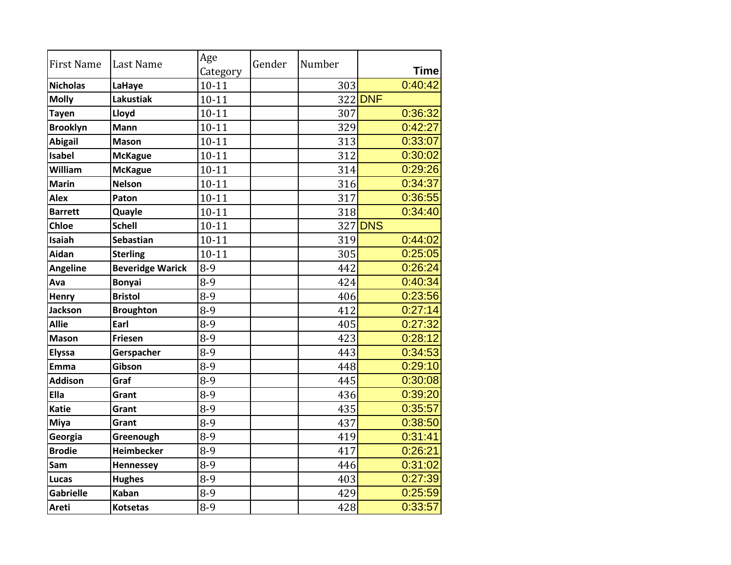| <b>First Name</b> | <b>Last Name</b>        | Age<br>Category | Gender | Number | <b>Time</b> |
|-------------------|-------------------------|-----------------|--------|--------|-------------|
| <b>Nicholas</b>   | LaHaye                  | $10 - 11$       |        | 303    | 0:40:42     |
| <b>Molly</b>      | <b>Lakustiak</b>        | $10 - 11$       |        |        | 322 DNF     |
| <b>Tayen</b>      | Lloyd                   | $10 - 11$       |        | 307    | 0:36:32     |
| <b>Brooklyn</b>   | <b>Mann</b>             | $10 - 11$       |        | 329    | 0:42:27     |
| <b>Abigail</b>    | <b>Mason</b>            | $10 - 11$       |        | 313    | 0:33:07     |
| <b>Isabel</b>     | <b>McKague</b>          | $10 - 11$       |        | 312    | 0:30:02     |
| William           | <b>McKague</b>          | $10 - 11$       |        | 314    | 0:29:26     |
| <b>Marin</b>      | <b>Nelson</b>           | $10 - 11$       |        | 316    | 0:34:37     |
| <b>Alex</b>       | Paton                   | $10 - 11$       |        | 317    | 0:36:55     |
| <b>Barrett</b>    | Quayle                  | $10 - 11$       |        | 318    | 0:34:40     |
| <b>Chloe</b>      | <b>Schell</b>           | $10 - 11$       |        |        | 327 DNS     |
| <b>Isaiah</b>     | Sebastian               | $10 - 11$       |        | 319    | 0:44:02     |
| <b>Aidan</b>      | <b>Sterling</b>         | $10 - 11$       |        | 305    | 0:25:05     |
| <b>Angeline</b>   | <b>Beveridge Warick</b> | $8-9$           |        | 442    | 0:26:24     |
| Ava               | <b>Bonyai</b>           | $8-9$           |        | 424    | 0:40:34     |
| Henry             | <b>Bristol</b>          | $8-9$           |        | 406    | 0:23:56     |
| <b>Jackson</b>    | <b>Broughton</b>        | $8-9$           |        | 412    | 0:27:14     |
| <b>Allie</b>      | Earl                    | $8-9$           |        | 405    | 0:27:32     |
| <b>Mason</b>      | <b>Friesen</b>          | $8-9$           |        | 423    | 0:28:12     |
| <b>Elyssa</b>     | Gerspacher              | $8-9$           |        | 443    | 0:34:53     |
| Emma              | Gibson                  | $8-9$           |        | 448    | 0:29:10     |
| <b>Addison</b>    | Graf                    | $8-9$           |        | 445    | 0:30:08     |
| Ella              | Grant                   | $8-9$           |        | 436    | 0:39:20     |
| <b>Katie</b>      | Grant                   | $8-9$           |        | 435    | 0:35:57     |
| Miya              | Grant                   | $8 - 9$         |        | 437    | 0:38:50     |
| Georgia           | Greenough               | $8-9$           |        | 419    | 0:31:41     |
| <b>Brodie</b>     | <b>Heimbecker</b>       | $8-9$           |        | 417    | 0:26:21     |
| Sam               | Hennessey               | $8-9$           |        | 446    | 0:31:02     |
| Lucas             | <b>Hughes</b>           | $8-9$           |        | 403    | 0:27:39     |
| <b>Gabrielle</b>  | <b>Kaban</b>            | $8-9$           |        | 429    | 0:25:59     |
| Areti             | <b>Kotsetas</b>         | $8-9$           |        | 428    | 0:33:57     |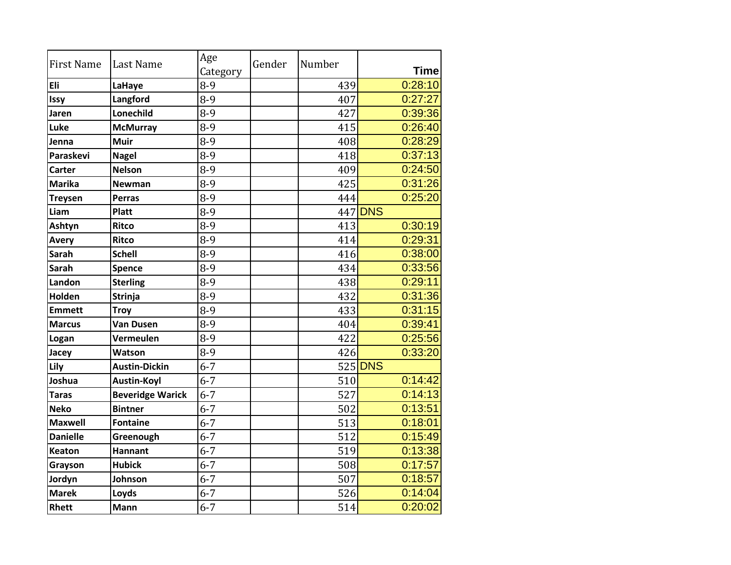| <b>First Name</b> | <b>Last Name</b>        | Age<br>Category | Gender | Number | <b>Time</b> |
|-------------------|-------------------------|-----------------|--------|--------|-------------|
| <b>Eli</b>        | LaHaye                  | 8-9             |        | 439    | 0:28:10     |
| Issy              | Langford                | $8-9$           |        | 407    | 0:27:27     |
| Jaren             | Lonechild               | $8-9$           |        | 427    | 0:39:36     |
| Luke              | <b>McMurray</b>         | $8-9$           |        | 415    | 0:26:40     |
| Jenna             | <b>Muir</b>             | $8-9$           |        | 408    | 0:28:29     |
| Paraskevi         | <b>Nagel</b>            | $8-9$           |        | 418    | 0:37:13     |
| <b>Carter</b>     | <b>Nelson</b>           | $8-9$           |        | 409    | 0:24:50     |
| <b>Marika</b>     | <b>Newman</b>           | $8-9$           |        | 425    | 0:31:26     |
| <b>Treysen</b>    | <b>Perras</b>           | $8-9$           |        | 444    | 0:25:20     |
| Liam              | <b>Platt</b>            | $8-9$           |        |        | 447 DNS     |
| Ashtyn            | <b>Ritco</b>            | $8-9$           |        | 413    | 0:30:19     |
| <b>Avery</b>      | <b>Ritco</b>            | $8-9$           |        | 414    | 0:29:31     |
| <b>Sarah</b>      | <b>Schell</b>           | $8-9$           |        | 416    | 0:38:00     |
| <b>Sarah</b>      | <b>Spence</b>           | 8-9             |        | 434    | 0:33:56     |
| Landon            | <b>Sterling</b>         | 8-9             |        | 438    | 0:29:11     |
| <b>Holden</b>     | <b>Strinja</b>          | $8-9$           |        | 432    | 0:31:36     |
| <b>Emmett</b>     | <b>Troy</b>             | 8-9             |        | 433    | 0:31:15     |
| <b>Marcus</b>     | <b>Van Dusen</b>        | $8 - 9$         |        | 404    | 0:39:41     |
| Logan             | Vermeulen               | $8-9$           |        | 422    | 0:25:56     |
| Jacey             | Watson                  | $8-9$           |        | 426    | 0:33:20     |
| Lily              | <b>Austin-Dickin</b>    | $6 - 7$         |        |        | 525 DNS     |
| Joshua            | <b>Austin-Koyl</b>      | $6 - 7$         |        | 510    | 0:14:42     |
| <b>Taras</b>      | <b>Beveridge Warick</b> | $6 - 7$         |        | 527    | 0:14:13     |
| <b>Neko</b>       | <b>Bintner</b>          | $6 - 7$         |        | 502    | 0:13:51     |
| <b>Maxwell</b>    | <b>Fontaine</b>         | $6 - 7$         |        | 513    | 0:18:01     |
| <b>Danielle</b>   | Greenough               | $6 - 7$         |        | 512    | 0:15:49     |
| <b>Keaton</b>     | <b>Hannant</b>          | $6 - 7$         |        | 519    | 0:13:38     |
| Grayson           | <b>Hubick</b>           | $6 - 7$         |        | 508    | 0:17:57     |
| Jordyn            | Johnson                 | $6 - 7$         |        | 507    | 0:18:57     |
| <b>Marek</b>      | Loyds                   | $6 - 7$         |        | 526    | 0:14:04     |
| <b>Rhett</b>      | <b>Mann</b>             | $6 - 7$         |        | 514    | 0:20:02     |